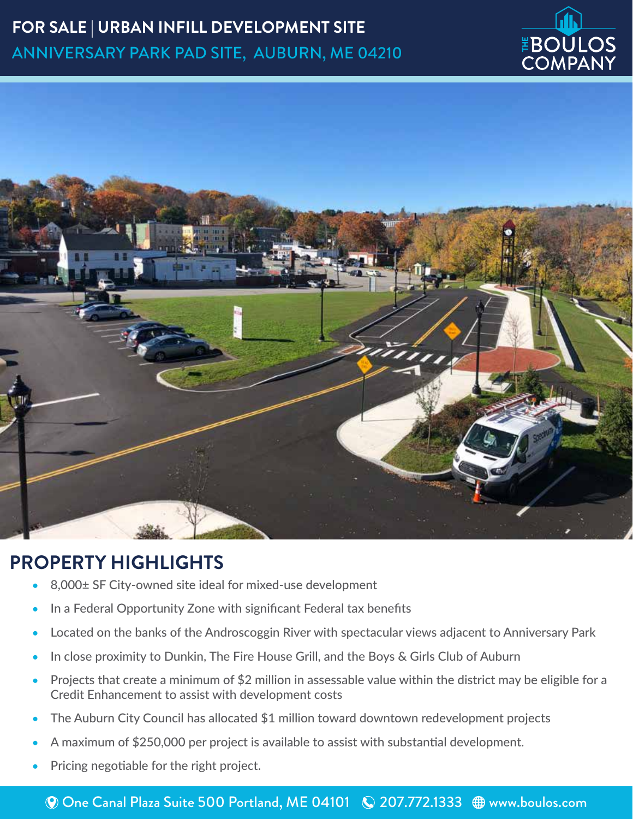# **FOR SALE | URBAN INFILL DEVELOPMENT SITE** ANNIVERSARY PARK PAD SITE, AUBURN, ME 04210





#### **PROPERTY HIGHLIGHTS**

- 8,000± SF City-owned site ideal for mixed-use development
- In a Federal Opportunity Zone with significant Federal tax benefits
- Located on the banks of the Androscoggin River with spectacular views adjacent to Anniversary Park
- In close proximity to Dunkin, The Fire House Grill, and the Boys & Girls Club of Auburn
- Projects that create a minimum of \$2 million in assessable value within the district may be eligible for a Credit Enhancement to assist with development costs
- The Auburn City Council has allocated \$1 million toward downtown redevelopment projects
- A maximum of \$250,000 per project is available to assist with substantial development.
- Pricing negotiable for the right project.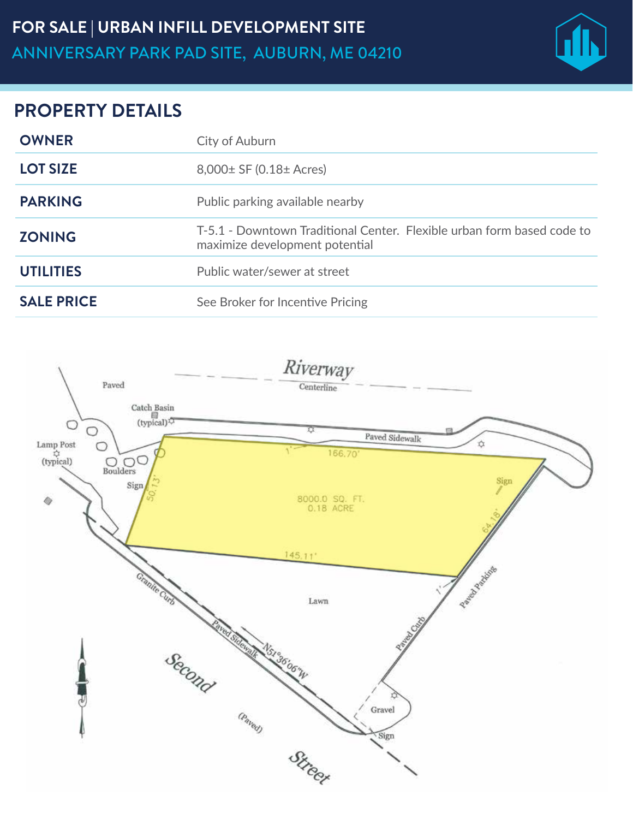

#### **PROPERTY DETAILS**

| <b>OWNER</b>      | City of Auburn                                                                                           |
|-------------------|----------------------------------------------------------------------------------------------------------|
| <b>LOT SIZE</b>   | $8,000 \pm 5F (0.18 \pm A, \text{cres})$                                                                 |
| <b>PARKING</b>    | Public parking available nearby                                                                          |
| <b>ZONING</b>     | T-5.1 - Downtown Traditional Center. Flexible urban form based code to<br>maximize development potential |
| <b>UTILITIES</b>  | Public water/sewer at street                                                                             |
| <b>SALE PRICE</b> | See Broker for Incentive Pricing                                                                         |

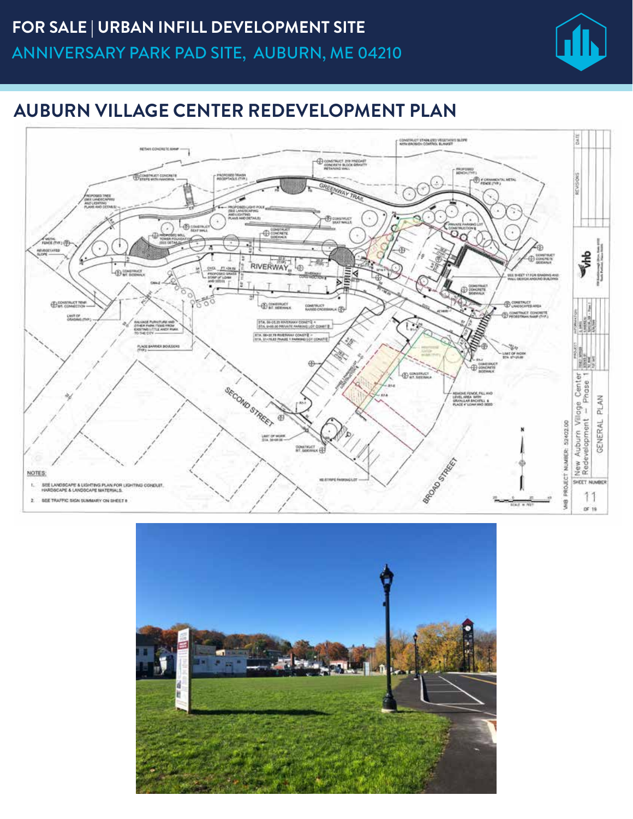

## **AUBURN VILLAGE CENTER REDEVELOPMENT PLAN**